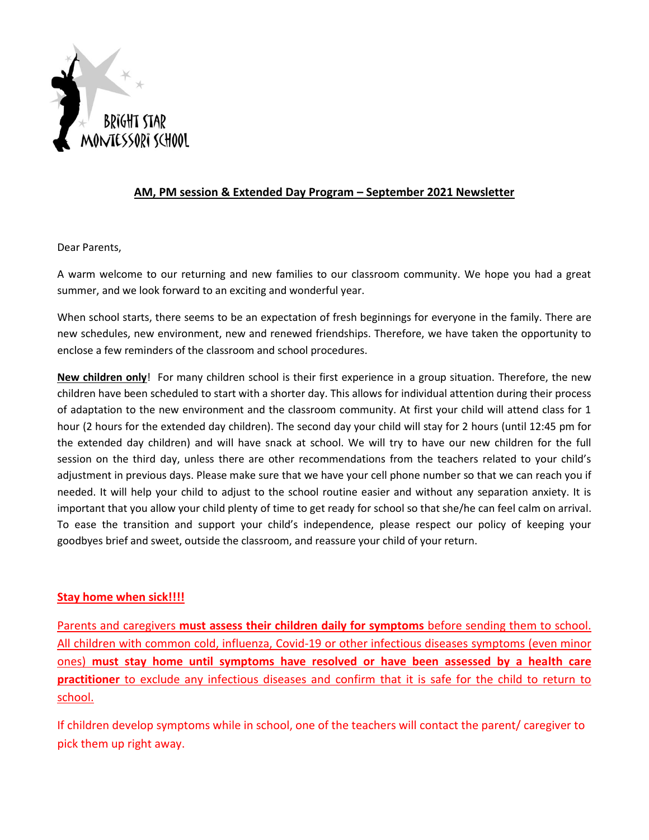

## **AM, PM session & Extended Day Program – September 2021 Newsletter**

Dear Parents,

A warm welcome to our returning and new families to our classroom community. We hope you had a great summer, and we look forward to an exciting and wonderful year.

When school starts, there seems to be an expectation of fresh beginnings for everyone in the family. There are new schedules, new environment, new and renewed friendships. Therefore, we have taken the opportunity to enclose a few reminders of the classroom and school procedures.

**New children only**! For many children school is their first experience in a group situation. Therefore, the new children have been scheduled to start with a shorter day. This allows for individual attention during their process of adaptation to the new environment and the classroom community. At first your child will attend class for 1 hour (2 hours for the extended day children). The second day your child will stay for 2 hours (until 12:45 pm for the extended day children) and will have snack at school. We will try to have our new children for the full session on the third day, unless there are other recommendations from the teachers related to your child's adjustment in previous days. Please make sure that we have your cell phone number so that we can reach you if needed. It will help your child to adjust to the school routine easier and without any separation anxiety. It is important that you allow your child plenty of time to get ready for school so that she/he can feel calm on arrival. To ease the transition and support your child's independence, please respect our policy of keeping your goodbyes brief and sweet, outside the classroom, and reassure your child of your return.

## **Stay home when sick!!!!**

Parents and caregivers **must assess their children daily for symptoms** before sending them to school. All children with common cold, influenza, Covid-19 or other infectious diseases symptoms (even minor ones) **must stay home until symptoms have resolved or have been assessed by a health care practitioner** to exclude any infectious diseases and confirm that it is safe for the child to return to school.

If children develop symptoms while in school, one of the teachers will contact the parent/ caregiver to pick them up right away.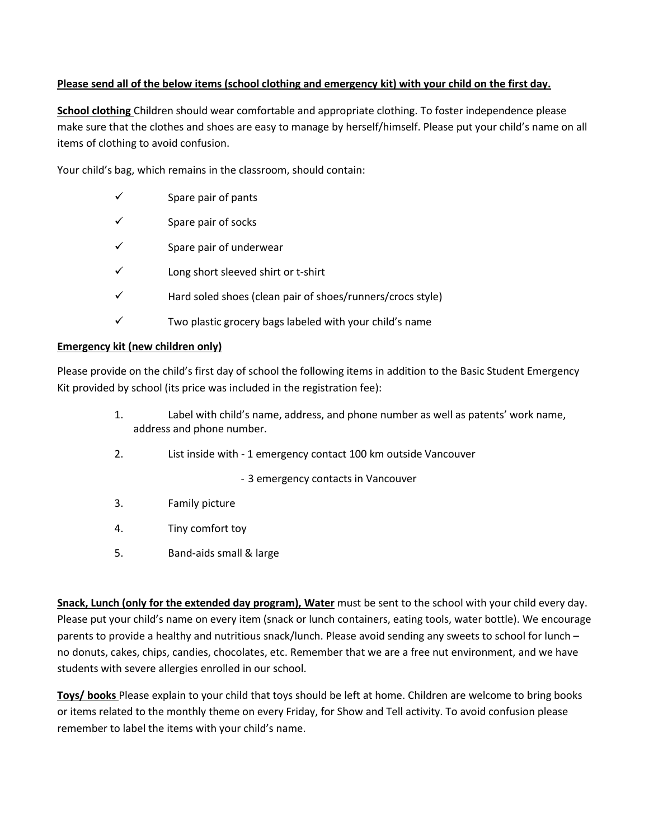## **Please send all of the below items (school clothing and emergency kit) with your child on the first day.**

**School clothing** Children should wear comfortable and appropriate clothing. To foster independence please make sure that the clothes and shoes are easy to manage by herself/himself. Please put your child's name on all items of clothing to avoid confusion.

Your child's bag, which remains in the classroom, should contain:

- $\checkmark$  Spare pair of pants
- $\checkmark$  Spare pair of socks
- ✓ Spare pair of underwear
- ✓ Long short sleeved shirt or t-shirt
- ✓ Hard soled shoes (clean pair of shoes/runners/crocs style)
- $\checkmark$  Two plastic grocery bags labeled with your child's name

## **Emergency kit (new children only)**

Please provide on the child's first day of school the following items in addition to the Basic Student Emergency Kit provided by school (its price was included in the registration fee):

- 1. Label with child's name, address, and phone number as well as patents' work name, address and phone number.
- 2. List inside with 1 emergency contact 100 km outside Vancouver

- 3 emergency contacts in Vancouver

- 3. Family picture
- 4. Tiny comfort toy
- 5. Band-aids small & large

**Snack, Lunch (only for the extended day program), Water** must be sent to the school with your child every day. Please put your child's name on every item (snack or lunch containers, eating tools, water bottle). We encourage parents to provide a healthy and nutritious snack/lunch. Please avoid sending any sweets to school for lunch – no donuts, cakes, chips, candies, chocolates, etc. Remember that we are a free nut environment, and we have students with severe allergies enrolled in our school.

**Toys/ books** Please explain to your child that toys should be left at home. Children are welcome to bring books or items related to the monthly theme on every Friday, for Show and Tell activity. To avoid confusion please remember to label the items with your child's name.